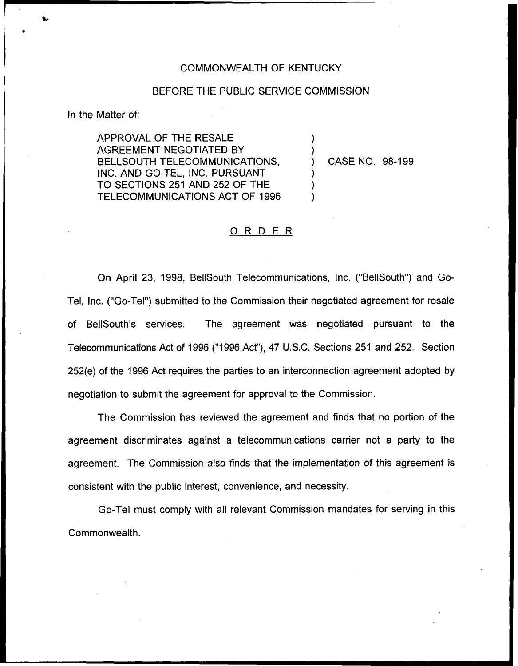## COMMONN/EALTH OF KENTUCKY

## BEFORE THE PUBLIC SERVICE COMMISSION

) )

) ) )

In the Matter of:

APPROVAL OF THE RESALE AGREEMENT NEGOTIATED BY BELLSOUTH TELECOMMUNICATIONS. INC. AND GO-TEL, INC. PURSUANT TO SECTIONS 251 AND 252 OF THE TELECOMMUNICATIONS ACT OF 1996

) CASE NO. 98-199

## ORDER

On April 23, 1998, BellSouth Telecommunications, Inc. ("BellSouth") and Go-Tel, Inc. ("Go-Tel") submitted to the Commission their negotiated agreement for resale of BellSouth's services. The agreement was negotiated pursuant to the Telecommunications Act of 1996 ("1996Act"), 47 U.S.C. Sections 251 and 252. Section 252(e) of the 1996 Act requires the parties to an interconnection agreement adopted by negotiation to submit the agreement for approval to the Commission.

The Commission has reviewed the agreement and finds that no portion of the agreement discriminates against a telecommunications carrier not a party to the agreement. The Commission also finds that the implementation of this agreement is consistent with the public interest, convenience, and necessity.

Go-Tel must comply with all relevant Commission mandates for serving in this Commonwealth.